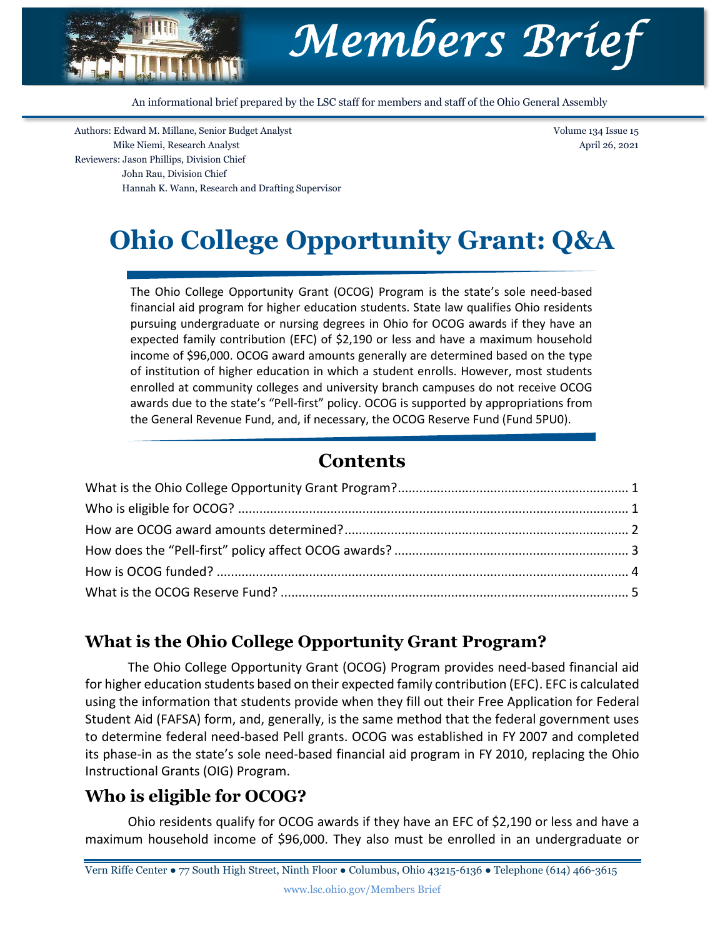

An informational brief prepared by the LSC staff for members and staff of the Ohio General Assembly

Authors: Edward M. Millane, Senior Budget Analyst Mike Niemi, Research Analyst Reviewers: Jason Phillips, Division Chief John Rau, Division Chief Hannah K. Wann, Research and Drafting Supervisor Volume 134 Issue 15 April 26, 2021

# **Ohio College Opportunity Grant: Q&A**

The Ohio College Opportunity Grant (OCOG) Program is the state's sole need-based financial aid program for higher education students. State law qualifies Ohio residents pursuing undergraduate or nursing degrees in Ohio for OCOG awards if they have an expected family contribution (EFC) of \$2,190 or less and have a maximum household income of \$96,000. OCOG award amounts generally are determined based on the type of institution of higher education in which a student enrolls. However, most students enrolled at community colleges and university branch campuses do not receive OCOG awards due to the state's "Pell-first" policy. OCOG is supported by appropriations from the General Revenue Fund, and, if necessary, the OCOG Reserve Fund (Fund 5PU0).

## **Contents**

## <span id="page-0-0"></span>**What is the Ohio College Opportunity Grant Program?**

The Ohio College Opportunity Grant (OCOG) Program provides need-based financial aid for higher education students based on their expected family contribution (EFC). EFC is calculated using the information that students provide when they fill out their Free Application for Federal Student Aid (FAFSA) form, and, generally, is the same method that the federal government uses to determine federal need-based Pell grants. OCOG was established in FY 2007 and completed its phase-in as the state's sole need‐based financial aid program in FY 2010, replacing the Ohio Instructional Grants (OIG) Program.

## <span id="page-0-1"></span>**Who is eligible for OCOG?**

Ohio residents qualify for OCOG awards if they have an EFC of \$2,190 or less and have a maximum household income of \$96,000. They also must be enrolled in an undergraduate or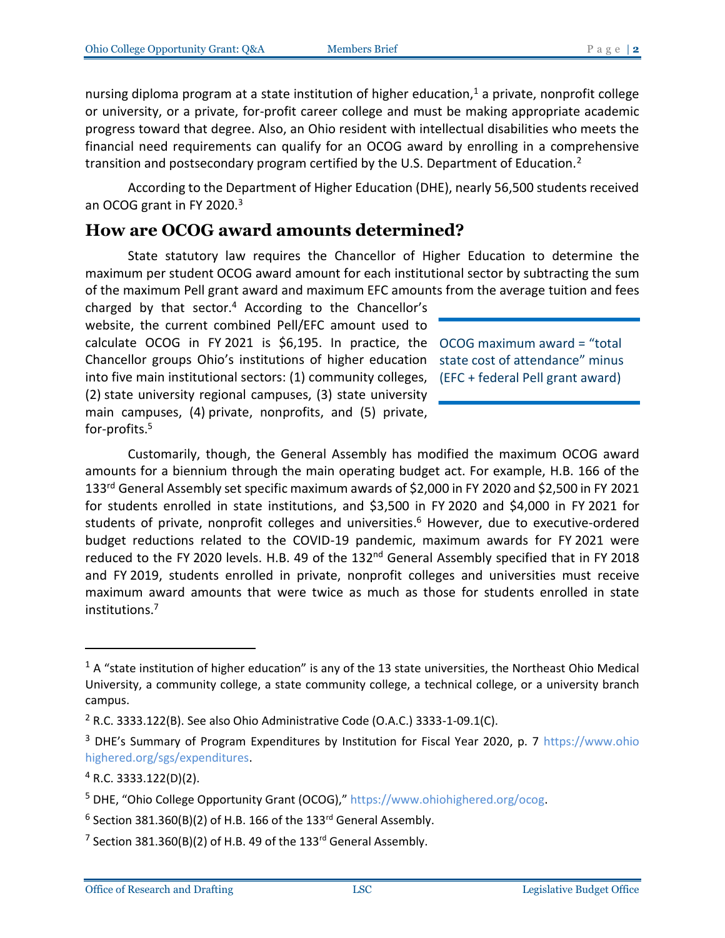nursing diploma program at a state institution of higher education, $1$  a private, nonprofit college or university, or a private, for-profit career college and must be making appropriate academic progress toward that degree. Also, an Ohio resident with intellectual disabilities who meets the financial need requirements can qualify for an OCOG award by enrolling in a comprehensive transition and postsecondary program certified by the U.S. Department of Education.<sup>2</sup>

According to the Department of Higher Education (DHE), nearly 56,500 students received an OCOG grant in FY 2020.<sup>3</sup>

#### <span id="page-1-0"></span>**How are OCOG award amounts determined?**

State statutory law requires the Chancellor of Higher Education to determine the maximum per student OCOG award amount for each institutional sector by subtracting the sum of the maximum Pell grant award and maximum EFC amounts from the average tuition and fees

charged by that sector. <sup>4</sup> According to the Chancellor's website, the current combined Pell/EFC amount used to calculate OCOG in FY 2021 is \$6,195. In practice, the OCOG maximum award = "total Chancellor groups Ohio's institutions of higher education state cost of attendance" minus into five main institutional sectors: (1) community colleges, (EFC + federal Pell grant award)(2) state university regional campuses, (3) state university main campuses, (4) private, nonprofits, and (5) private, for-profits.<sup>5</sup>

Customarily, though, the General Assembly has modified the maximum OCOG award amounts for a biennium through the main operating budget act. For example, H.B. 166 of the 133rd General Assembly set specific maximum awards of \$2,000 in FY 2020 and \$2,500 in FY 2021 for students enrolled in state institutions, and \$3,500 in FY 2020 and \$4,000 in FY 2021 for students of private, nonprofit colleges and universities. <sup>6</sup> However, due to executive-ordered budget reductions related to the COVID-19 pandemic, maximum awards for FY 2021 were reduced to the FY 2020 levels. H.B. 49 of the 132<sup>nd</sup> General Assembly specified that in FY 2018 and FY 2019, students enrolled in private, nonprofit colleges and universities must receive maximum award amounts that were twice as much as those for students enrolled in state institutions.<sup>7</sup>

 $1$  A "state institution of higher education" is any of the 13 state universities, the Northeast Ohio Medical University, a community college, a state community college, a technical college, or a university branch campus.

<sup>&</sup>lt;sup>2</sup> R.C. 3333.122(B). See also Ohio Administrative Code (O.A.C.) 3333-1-09.1(C).

<sup>&</sup>lt;sup>3</sup> DHE's Summary of Program Expenditures by Institution for Fiscal Year 2020, p. 7 [https://www.ohio](https://www.ohiohighered.org/sgs/expenditures) [highered.org/sgs/expenditures.](https://www.ohiohighered.org/sgs/expenditures)

 $4$  R.C. 3333.122(D)(2).

<sup>5</sup> DHE, "Ohio College Opportunity Grant (OCOG)," [https://www.ohiohighered.org/ocog.](https://www.ohiohighered.org/ocog)

 $6$  Section 381.360(B)(2) of H.B. 166 of the 133<sup>rd</sup> General Assembly.

 $^7$  Section 381.360(B)(2) of H.B. 49 of the 133<sup>rd</sup> General Assembly.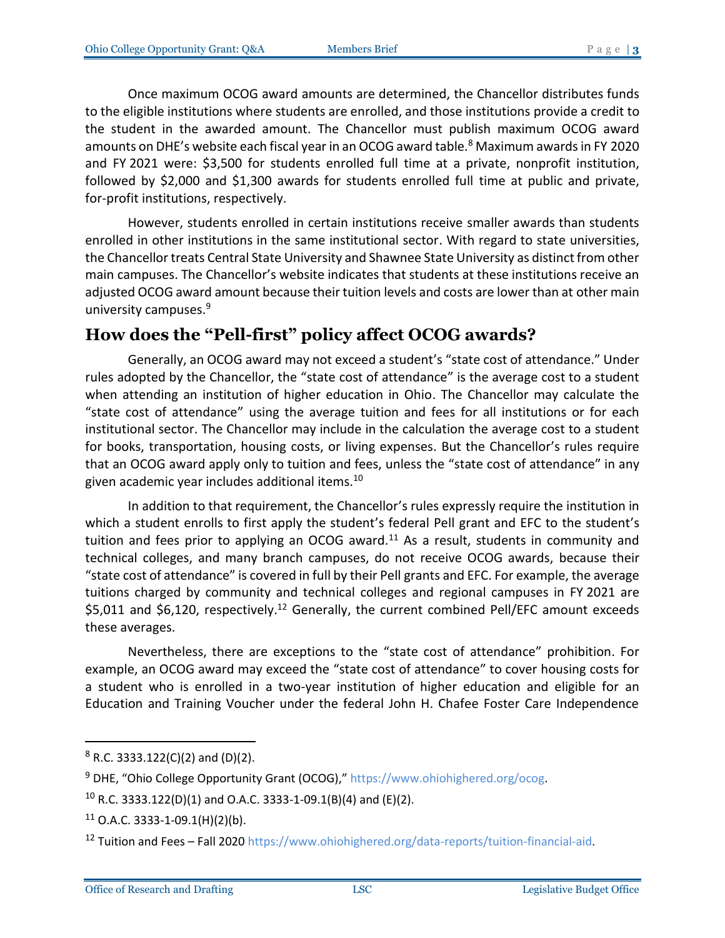Once maximum OCOG award amounts are determined, the Chancellor distributes funds to the eligible institutions where students are enrolled, and those institutions provide a credit to the student in the awarded amount. The Chancellor must publish maximum OCOG award amounts on DHE's website each fiscal year in an OCOG award table.<sup>8</sup> Maximum awards in FY 2020 and FY 2021 were: \$3,500 for students enrolled full time at a private, nonprofit institution, followed by \$2,000 and \$1,300 awards for students enrolled full time at public and private, for-profit institutions, respectively.

However, students enrolled in certain institutions receive smaller awards than students enrolled in other institutions in the same institutional sector. With regard to state universities, the Chancellor treats Central State University and Shawnee State University as distinct from other main campuses. The Chancellor's website indicates that students at these institutions receive an adjusted OCOG award amount because their tuition levels and costs are lower than at other main university campuses.<sup>9</sup>

## <span id="page-2-0"></span>**How does the "Pell-first" policy affect OCOG awards?**

Generally, an OCOG award may not exceed a student's "state cost of attendance." Under rules adopted by the Chancellor, the "state cost of attendance" is the average cost to a student when attending an institution of higher education in Ohio. The Chancellor may calculate the "state cost of attendance" using the average tuition and fees for all institutions or for each institutional sector. The Chancellor may include in the calculation the average cost to a student for books, transportation, housing costs, or living expenses. But the Chancellor's rules require that an OCOG award apply only to tuition and fees, unless the "state cost of attendance" in any given academic year includes additional items.<sup>10</sup>

In addition to that requirement, the Chancellor's rules expressly require the institution in which a student enrolls to first apply the student's federal Pell grant and EFC to the student's tuition and fees prior to applying an OCOG award.<sup>11</sup> As a result, students in community and technical colleges, and many branch campuses, do not receive OCOG awards, because their "state cost of attendance" is covered in full by their Pell grants and EFC. For example, the average tuitions charged by community and technical colleges and regional campuses in FY 2021 are \$5,011 and \$6,120, respectively.<sup>12</sup> Generally, the current combined Pell/EFC amount exceeds these averages.

Nevertheless, there are exceptions to the "state cost of attendance" prohibition. For example, an OCOG award may exceed the "state cost of attendance" to cover housing costs for a student who is enrolled in a two-year institution of higher education and eligible for an Education and Training Voucher under the federal John H. Chafee Foster Care Independence

 $8$  R.C. 3333.122(C)(2) and (D)(2).

<sup>&</sup>lt;sup>9</sup> DHE, "Ohio College Opportunity Grant (OCOG)," [https://www.ohiohighered.org/ocog.](https://www.ohiohighered.org/ocog)

 $10$  R.C. 3333.122(D)(1) and O.A.C. 3333-1-09.1(B)(4) and (E)(2).

 $11$  O.A.C. 3333-1-09.1(H)(2)(b).

<sup>12</sup> Tuition and Fees – Fall 2020 [https://www.ohiohighered.org/data-reports/tuition-financial-aid.](https://www.ohiohighered.org/data-reports/tuition-financial-aid)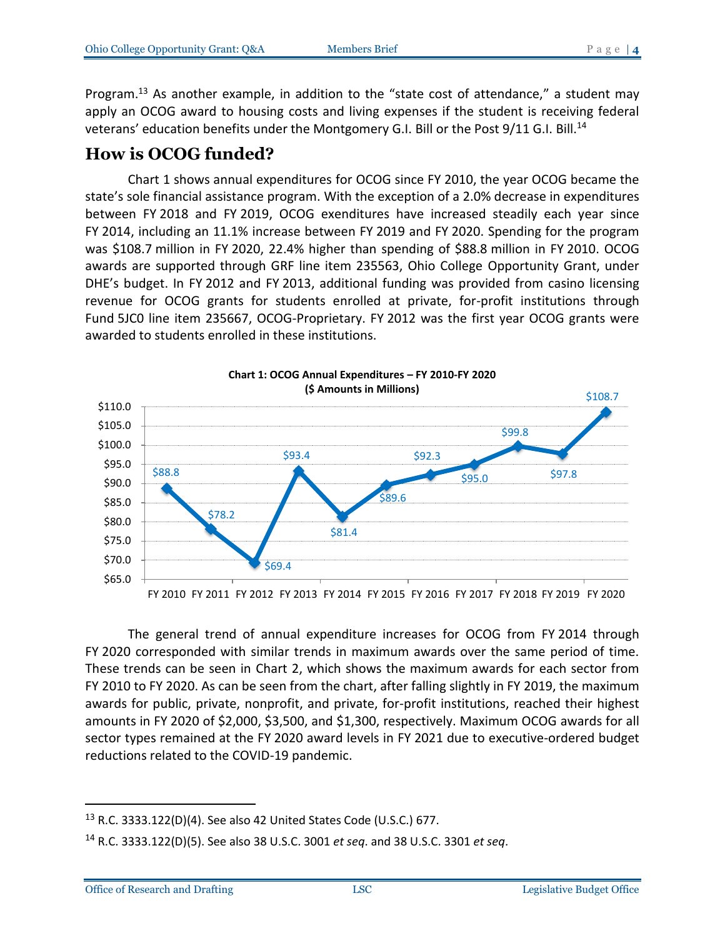Program.<sup>13</sup> As another example, in addition to the "state cost of attendance," a student may apply an OCOG award to housing costs and living expenses if the student is receiving federal veterans' education benefits under the Montgomery G.I. Bill or the Post 9/11 G.I. Bill.<sup>14</sup>

### <span id="page-3-0"></span>**How is OCOG funded?**

Chart 1 shows annual expenditures for OCOG since FY 2010, the year OCOG became the state's sole financial assistance program. With the exception of a 2.0% decrease in expenditures between FY 2018 and FY 2019, OCOG exenditures have increased steadily each year since FY 2014, including an 11.1% increase between FY 2019 and FY 2020. Spending for the program was \$108.7 million in FY 2020, 22.4% higher than spending of \$88.8 million in FY 2010. OCOG awards are supported through GRF line item 235563, Ohio College Opportunity Grant, under DHE's budget. In FY 2012 and FY 2013, additional funding was provided from casino licensing revenue for OCOG grants for students enrolled at private, for-profit institutions through Fund 5JC0 line item 235667, OCOG-Proprietary. FY 2012 was the first year OCOG grants were awarded to students enrolled in these institutions.



The general trend of annual expenditure increases for OCOG from FY 2014 through FY 2020 corresponded with similar trends in maximum awards over the same period of time. These trends can be seen in Chart 2, which shows the maximum awards for each sector from FY 2010 to FY 2020. As can be seen from the chart, after falling slightly in FY 2019, the maximum awards for public, private, nonprofit, and private, for-profit institutions, reached their highest amounts in FY 2020 of \$2,000, \$3,500, and \$1,300, respectively. Maximum OCOG awards for all sector types remained at the FY 2020 award levels in FY 2021 due to executive-ordered budget reductions related to the COVID-19 pandemic.

<sup>13</sup> R.C. 3333.122(D)(4). See also 42 United States Code (U.S.C.) 677.

<sup>14</sup> R.C. 3333.122(D)(5). See also 38 U.S.C. 3001 *et seq*. and 38 U.S.C. 3301 *et seq*.